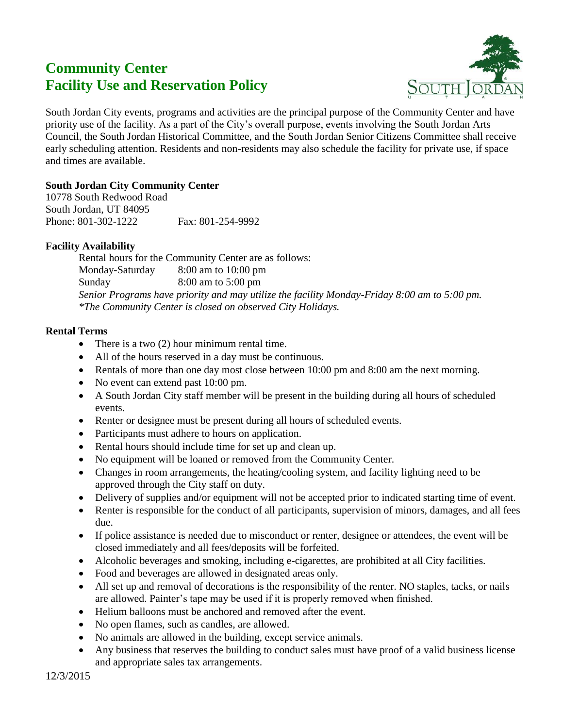# **Community Center Facility Use and Reservation Policy**



South Jordan City events, programs and activities are the principal purpose of the Community Center and have priority use of the facility. As a part of the City's overall purpose, events involving the South Jordan Arts Council, the South Jordan Historical Committee, and the South Jordan Senior Citizens Committee shall receive early scheduling attention. Residents and non-residents may also schedule the facility for private use, if space and times are available.

## **South Jordan City Community Center**

10778 South Redwood Road South Jordan, UT 84095 Phone: 801-302-1222 Fax: 801-254-9992

## **Facility Availability**

Rental hours for the Community Center are as follows: Monday-Saturday 8:00 am to 10:00 pm Sunday 8:00 am to 5:00 pm *Senior Programs have priority and may utilize the facility Monday-Friday 8:00 am to 5:00 pm. \*The Community Center is closed on observed City Holidays.*

## **Rental Terms**

- There is a two (2) hour minimum rental time.
- All of the hours reserved in a day must be continuous.
- Rentals of more than one day most close between 10:00 pm and 8:00 am the next morning.
- No event can extend past 10:00 pm.
- A South Jordan City staff member will be present in the building during all hours of scheduled events.
- Renter or designee must be present during all hours of scheduled events.
- Participants must adhere to hours on application.
- Rental hours should include time for set up and clean up.
- No equipment will be loaned or removed from the Community Center.
- Changes in room arrangements, the heating/cooling system, and facility lighting need to be approved through the City staff on duty.
- Delivery of supplies and/or equipment will not be accepted prior to indicated starting time of event.
- Renter is responsible for the conduct of all participants, supervision of minors, damages, and all fees due.
- If police assistance is needed due to misconduct or renter, designee or attendees, the event will be closed immediately and all fees/deposits will be forfeited.
- Alcoholic beverages and smoking, including e-cigarettes, are prohibited at all City facilities.
- Food and beverages are allowed in designated areas only.
- All set up and removal of decorations is the responsibility of the renter. NO staples, tacks, or nails are allowed. Painter's tape may be used if it is properly removed when finished.
- Helium balloons must be anchored and removed after the event.
- No open flames, such as candles, are allowed.
- No animals are allowed in the building, except service animals.
- Any business that reserves the building to conduct sales must have proof of a valid business license and appropriate sales tax arrangements.